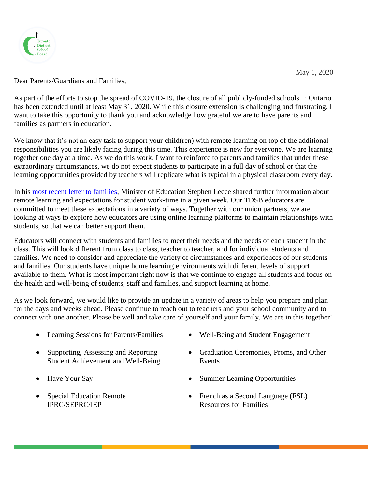

Dear Parents/Guardians and Families,

As part of the efforts to stop the spread of COVID-19, the closure of all publicly-funded schools in Ontario has been extended until at least May 31, 2020. While this closure extension is challenging and frustrating, I want to take this opportunity to thank you and acknowledge how grateful we are to have parents and families as partners in education.

We know that it's not an easy task to support your child(ren) with remote learning on top of the additional responsibilities you are likely facing during this time. This experience is new for everyone. We are learning together one day at a time. As we do this work, I want to reinforce to parents and families that under these extraordinary circumstances, we do not expect students to participate in a full day of school or that the learning opportunities provided by teachers will replicate what is typical in a physical classroom every day.

In his [most recent letter to families,](https://www.ontario.ca/page/letter-ontarios-parents-minister-education) Minister of Education Stephen Lecce shared further information about remote learning and expectations for student work-time in a given week. Our TDSB educators are committed to meet these expectations in a variety of ways. Together with our union partners, we are looking at ways to explore how educators are using online learning platforms to maintain relationships with students, so that we can better support them.

Educators will connect with students and families to meet their needs and the needs of each student in the class. This will look different from class to class, teacher to teacher, and for individual students and families. We need to consider and appreciate the variety of circumstances and experiences of our students and families. Our students have unique home learning environments with different levels of support available to them. What is most important right now is that we continue to engage all students and focus on the health and well-being of students, staff and families, and support learning at home.

As we look forward, we would like to provide an update in a variety of areas to help you prepare and plan for the days and weeks ahead. Please continue to reach out to teachers and your school community and to connect with one another. Please be well and take care of yourself and your family. We are in this together!

- Learning Sessions for Parents/Families Well-Being and Student Engagement
- Supporting, Assessing and Reporting Student Achievement and Well-Being
- 
- Special Education Remote IPRC/SEPRC/IEP
- 
- Graduation Ceremonies, Proms, and Other Events
- Have Your Say Summer Learning Opportunities
	- French as a Second Language (FSL) Resources for Families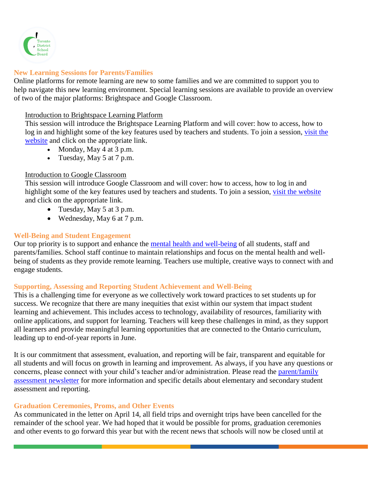

### **New Learning Sessions for Parents/Families**

Online platforms for remote learning are new to some families and we are committed to support you to help navigate this new learning environment. Special learning sessions are available to provide an overview of two of the major platforms: Brightspace and Google Classroom.

#### Introduction to Brightspace Learning Platform

This session will introduce the Brightspace Learning Platform and will cover: how to access, how to log in and highlight some of the key features used by teachers and students. To join a session, [visit the](https://www.tdsb.on.ca/remote-Learning)  [website](https://www.tdsb.on.ca/remote-Learning) and click on the appropriate link.

- Monday, May  $4$  at  $3$  p.m.
- Tuesday, May  $5$  at  $7$  p.m.

### Introduction to Google Classroom

This session will introduce Google Classroom and will cover: how to access, how to log in and highlight some of the key features used by teachers and students. To join a session, [visit the website](https://www.tdsb.on.ca/remote-Learning) and click on the appropriate link.

- Tuesday, May 5 at 3 p.m.
- Wednesday, May 6 at 7 p.m.

# **Well-Being and Student Engagement**

Our top priority is to support and enhance the [mental health and well-being](https://www.tdsb.on.ca/Remote-Learning/Resources-During-Covid-19) of all students, staff and parents/families. School staff continue to maintain relationships and focus on the mental health and wellbeing of students as they provide remote learning. Teachers use multiple, creative ways to connect with and engage students.

# **Supporting, Assessing and Reporting Student Achievement and Well-Being**

This is a challenging time for everyone as we collectively work toward practices to set students up for success. We recognize that there are many inequities that exist within our system that impact student learning and achievement. This includes access to technology, availability of resources, familiarity with online applications, and support for learning. Teachers will keep these challenges in mind, as they support all learners and provide meaningful learning opportunities that are connected to the Ontario curriculum, leading up to end-of-year reports in June.

It is our commitment that assessment, evaluation, and reporting will be fair, transparent and equitable for all students and will focus on growth in learning and improvement. As always, if you have any questions or concerns, please connect with your child's teacher and/or administration. Please read the [parent/family](https://www.tdsb.on.ca/Portals/0/docs/Final%20Parent%20Assessment%20Newsletter%20April%2029.pdf)  [assessment newsletter](https://www.tdsb.on.ca/Portals/0/docs/Final%20Parent%20Assessment%20Newsletter%20April%2029.pdf) for more information and specific details about elementary and secondary student assessment and reporting.

# **Graduation Ceremonies, Proms, and Other Events**

As communicated in the letter on April 14, all field trips and overnight trips have been cancelled for the remainder of the school year. We had hoped that it would be possible for proms, graduation ceremonies and other events to go forward this year but with the recent news that schools will now be closed until at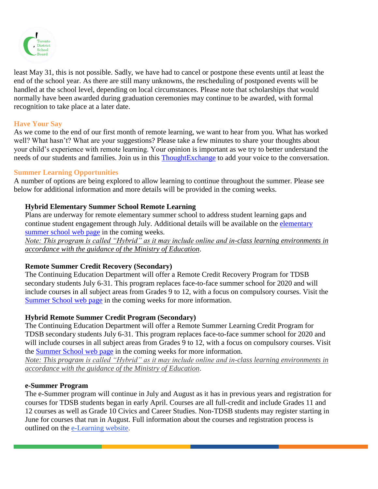

least May 31, this is not possible. Sadly, we have had to cancel or postpone these events until at least the end of the school year. As there are still many unknowns, the rescheduling of postponed events will be handled at the school level, depending on local circumstances. Please note that scholarships that would normally have been awarded during graduation ceremonies may continue to be awarded, with formal recognition to take place at a later date.

### **Have Your Say**

As we come to the end of our first month of remote learning, we want to hear from you. What has worked well? What hasn't? What are your suggestions? Please take a few minutes to share your thoughts about your child's experience with remote learning. Your opinion is important as we try to better understand the needs of our students and families. Join us in this [ThoughtExchange](https://my.thoughtexchange.com/189578056) to add your voice to the conversation.

### **Summer Learning Opportunities**

A number of options are being explored to allow learning to continue throughout the summer. Please see below for additional information and more details will be provided in the coming weeks.

# **Hybrid Elementary Summer School Remote Learning**

Plans are underway for remote elementary summer school to address student learning gaps and continue student engagement through July. Additional details will be available on the elementary [summer school web page](https://www.tdsb.on.ca/About-Us/Innovation/Elementary-Summer-School) in the coming weeks.

*Note: This program is called "Hybrid" as it may include online and in-class learning environments in accordance with the guidance of the Ministry of Education*.

# **Remote Summer Credit Recovery (Secondary)**

The Continuing Education Department will offer a Remote Credit Recovery Program for TDSB secondary students July 6-31. This program replaces face-to-face summer school for 2020 and will include courses in all subject areas from Grades 9 to 12, with a focus on compulsory courses. Visit the [Summer School web page](https://www.tdsb.on.ca/High-School/Going-to-High-School/Night-School-and-Summer-School/Summer-School) in the coming weeks for more information.

# **Hybrid Remote Summer Credit Program (Secondary)**

The Continuing Education Department will offer a Remote Summer Learning Credit Program for TDSB secondary students July 6-31. This program replaces face-to-face summer school for 2020 and will include courses in all subject areas from Grades 9 to 12, with a focus on compulsory courses. Visit the [Summer School web page](https://www.tdsb.on.ca/High-School/Going-to-High-School/Night-School-and-Summer-School/Summer-School) in the coming weeks for more information.

*Note: This program is called "Hybrid" as it may include online and in-class learning environments in accordance with the guidance of the Ministry of Education*.

#### **e-Summer Program**

The e-Summer program will continue in July and August as it has in previous years and registration for courses for TDSB students began in early April. Courses are all full-credit and include Grades 11 and 12 courses as well as Grade 10 Civics and Career Studies. Non-TDSB students may register starting in June for courses that run in August. Full information about the courses and registration process is outlined on the [e-Learning website.](https://t.e2ma.net/click/2jxvhd/amoo6l/6alrsl)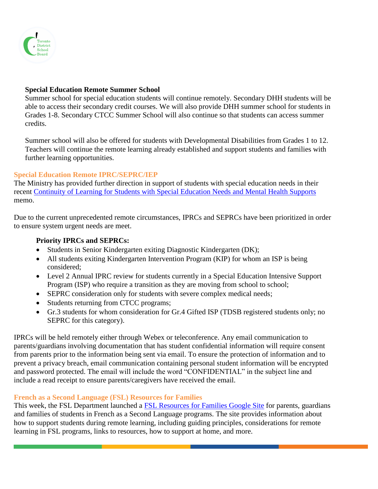

### **Special Education Remote Summer School**

Summer school for special education students will continue remotely. Secondary DHH students will be able to access their secondary credit courses. We will also provide DHH summer school for students in Grades 1-8. Secondary CTCC Summer School will also continue so that students can access summer credits.

Summer school will also be offered for students with Developmental Disabilities from Grades 1 to 12. Teachers will continue the remote learning already established and support students and families with further learning opportunities.

#### **Special Education Remote IPRC/SEPRC/IEP**

The Ministry has provided further direction in support of students with special education needs in their recent [Continuity of Learning for Students with Special Education Needs and Mental Health Supports](https://drive.google.com/file/d/1sEqd3DzSl22j8EskC98qfH0QatZVYgUH/view?usp=sharing) memo.

Due to the current unprecedented remote circumstances, IPRCs and SEPRCs have been prioritized in order to ensure system urgent needs are meet.

### **Priority IPRCs and SEPRCs:**

- Students in Senior Kindergarten exiting Diagnostic Kindergarten (DK);
- All students exiting Kindergarten Intervention Program (KIP) for whom an ISP is being considered;
- Level 2 Annual IPRC review for students currently in a Special Education Intensive Support Program (ISP) who require a transition as they are moving from school to school;
- SEPRC consideration only for students with severe complex medical needs;
- Students returning from CTCC programs;
- Gr.3 students for whom consideration for Gr.4 Gifted ISP (TDSB registered students only; no SEPRC for this category).

IPRCs will be held remotely either through Webex or teleconference. Any email communication to parents/guardians involving documentation that has student confidential information will require consent from parents prior to the information being sent via email. To ensure the protection of information and to prevent a privacy breach, email communication containing personal student information will be encrypted and password protected. The email will include the word "CONFIDENTIAL" in the subject line and include a read receipt to ensure parents/caregivers have received the email.

# **French as a Second Language (FSL) Resources for Families**

This week, the FSL Department launched a [FSL Resources for Families Google Site](https://sites.google.com/tdsb.on.ca/fsl-resources-for-families/home?authuser=0) for parents, guardians and families of students in French as a Second Language programs. The site provides information about how to support students during remote learning, including guiding principles, considerations for remote learning in FSL programs, links to resources, how to support at home, and more.